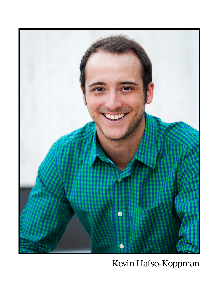

Kevin Hafso-Koppman